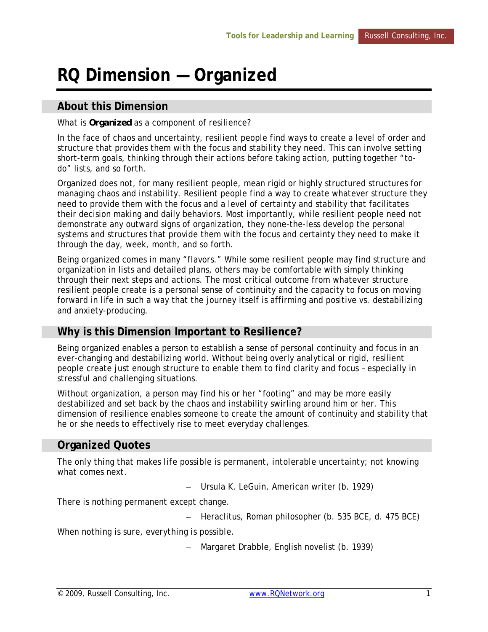# **RQ Dimension — Organized**

#### **About this Dimension**

#### What is *Organized* as a component of resilience?

In the face of chaos and uncertainty, resilient people find ways to create a level of order and structure that provides them with the focus and stability they need. This can involve setting short-term goals, thinking through their actions before taking action, putting together "todo" lists, and so forth.

Organized does not, for many resilient people, mean rigid or highly structured structures for managing chaos and instability. Resilient people find a way to create whatever structure they need to provide them with the focus and a level of certainty and stability that facilitates their decision making and daily behaviors. Most importantly, while resilient people need not demonstrate any outward signs of organization, they none-the-less develop the personal systems and structures that provide them with the focus and certainty they need to make it through the day, week, month, and so forth.

Being organized comes in many "flavors." While some resilient people may find structure and organization in lists and detailed plans, others may be comfortable with simply thinking through their next steps and actions. The most critical outcome from whatever structure resilient people create is a personal sense of continuity and the capacity to focus on moving forward in life in such a way that the journey itself is affirming and positive vs. destabilizing and anxiety-producing.

## **Why is this Dimension Important to Resilience?**

Being organized enables a person to establish a sense of personal continuity and focus in an ever-changing and destabilizing world. Without being overly analytical or rigid, resilient people create just enough structure to enable them to find clarity and focus – especially in stressful and challenging situations.

Without organization, a person may find his or her "footing" and may be more easily destabilized and set back by the chaos and instability swirling around him or her. This dimension of resilience enables someone to create the amount of continuity and stability that he or she needs to effectively rise to meet everyday challenges.

## **Organized Quotes**

*The only thing that makes life possible is permanent, intolerable uncertainty; not knowing what comes next.* 

– Ursula K. LeGuin, American writer (b. 1929)

*There is nothing permanent except change.* 

– Heraclitus, Roman philosopher (b. 535 BCE, d. 475 BCE)

*When nothing is sure, everything is possible.* 

– Margaret Drabble, English novelist (b. 1939)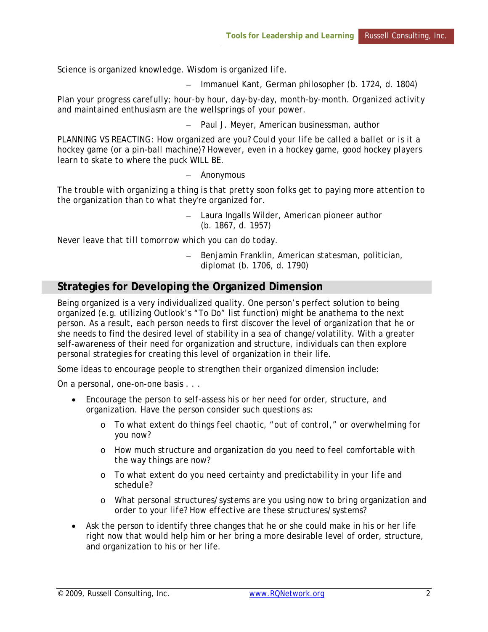*Science is organized knowledge. Wisdom is organized life.* 

– Immanuel Kant, German philosopher (b. 1724, d. 1804)

*Plan your progress carefully; hour-by hour, day-by-day, month-by-month. Organized activity and maintained enthusiasm are the wellsprings of your power.* 

– Paul J. Meyer, American businessman, author

*PLANNING VS REACTING: How organized are you? Could your life be called a ballet or is it a hockey game (or a pin-ball machine)? However, even in a hockey game, good hockey players learn to skate to where the puck WILL BE.* 

– Anonymous

*The trouble with organizing a thing is that pretty soon folks get to paying more attention to the organization than to what they're organized for.* 

> – Laura Ingalls Wilder, American pioneer author (b. 1867, d. 1957)

*Never leave that till tomorrow which you can do today.* 

– Benjamin Franklin, American statesman, politician, diplomat (b. 1706, d. 1790)

## **Strategies for Developing the Organized Dimension**

Being organized is a very individualized quality. One person's perfect solution to being organized (e.g. utilizing Outlook's "To Do" list function) might be anathema to the next person. As a result, each person needs to first discover the level of organization that he or she needs to find the desired level of stability in a sea of change/volatility. With a greater self-awareness of their need for organization and structure, individuals can then explore personal strategies for creating this level of organization in their life.

Some ideas to encourage people to strengthen their organized dimension include:

On a personal, one-on-one basis . . .

- Encourage the person to self-assess his or her need for order, structure, and organization. Have the person consider such questions as:
	- o *To what extent do things feel chaotic, "out of control," or overwhelming for you now?*
	- o *How much structure and organization do you need to feel comfortable with the way things are now?*
	- o *To what extent do you need certainty and predictability in your life and schedule?*
	- o *What personal structures/systems are you using now to bring organization and order to your life? How effective are these structures/systems?*
- Ask the person to identify three changes that he or she could make in his or her life right now that would help him or her bring a more desirable level of order, structure, and organization to his or her life.